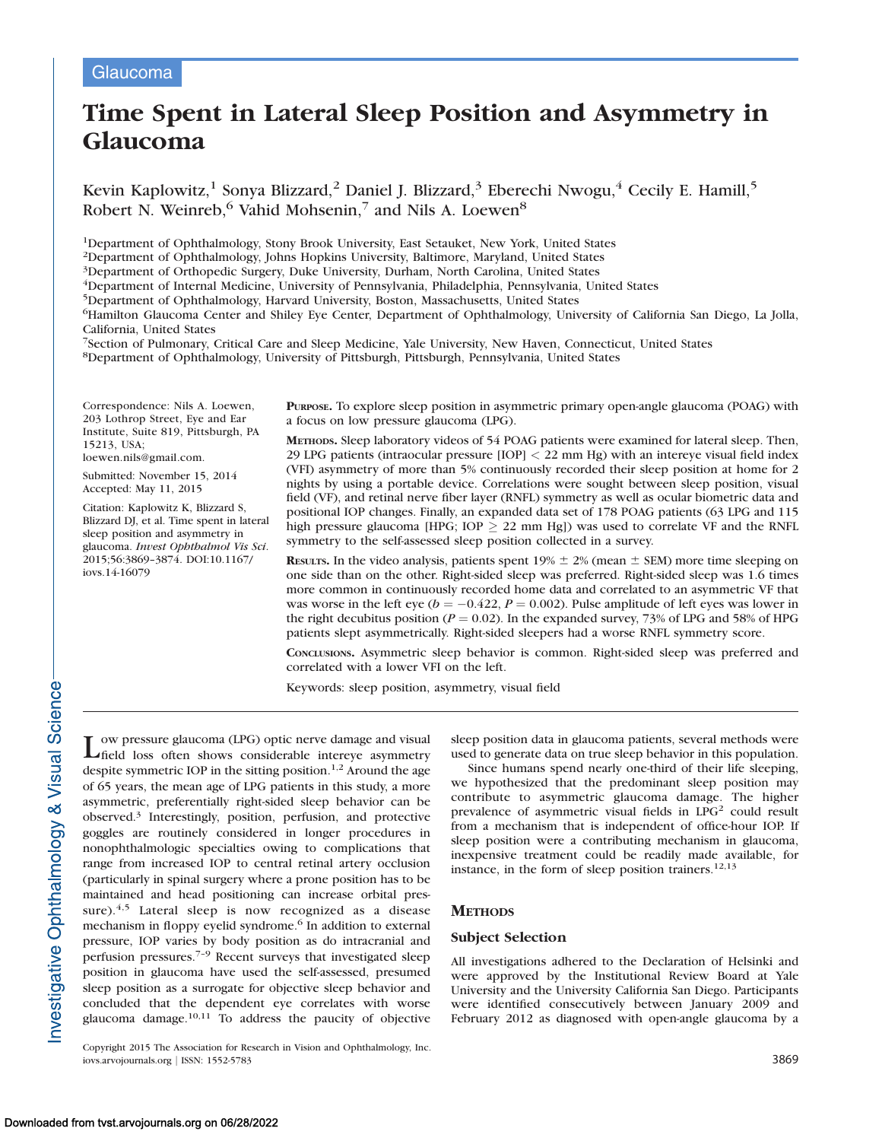## **Glaucoma**

# Time Spent in Lateral Sleep Position and Asymmetry in Glaucoma

Kevin Kaplowitz,<sup>1</sup> Sonya Blizzard,<sup>2</sup> Daniel J. Blizzard,<sup>3</sup> Eberechi Nwogu,<sup>4</sup> Cecily E. Hamill,<sup>5</sup> Robert N. Weinreb,<sup>6</sup> Vahid Mohsenin,<sup>7</sup> and Nils A. Loewen<sup>8</sup>

1Department of Ophthalmology, Stony Brook University, East Setauket, New York, United States

2Department of Ophthalmology, Johns Hopkins University, Baltimore, Maryland, United States

3Department of Orthopedic Surgery, Duke University, Durham, North Carolina, United States

4Department of Internal Medicine, University of Pennsylvania, Philadelphia, Pennsylvania, United States

5Department of Ophthalmology, Harvard University, Boston, Massachusetts, United States

6Hamilton Glaucoma Center and Shiley Eye Center, Department of Ophthalmology, University of California San Diego, La Jolla, California, United States

7Section of Pulmonary, Critical Care and Sleep Medicine, Yale University, New Haven, Connecticut, United States 8Department of Ophthalmology, University of Pittsburgh, Pittsburgh, Pennsylvania, United States

Correspondence: Nils A. Loewen, 203 Lothrop Street, Eye and Ear Institute, Suite 819, Pittsburgh, PA 15213, USA;

loewen.nils@gmail.com.

Submitted: November 15, 2014 Accepted: May 11, 2015

Citation: Kaplowitz K, Blizzard S, Blizzard DJ, et al. Time spent in lateral sleep position and asymmetry in glaucoma. Invest Ophthalmol Vis Sci. 2015;56:3869–3874. DOI:10.1167/ iovs.14-16079

PURPOSE. To explore sleep position in asymmetric primary open-angle glaucoma (POAG) with a focus on low pressure glaucoma (LPG).

METHODS. Sleep laboratory videos of 54 POAG patients were examined for lateral sleep. Then, 29 LPG patients (intraocular pressure [IOP] < 22 mm Hg) with an intereye visual field index (VFI) asymmetry of more than 5% continuously recorded their sleep position at home for 2 nights by using a portable device. Correlations were sought between sleep position, visual field (VF), and retinal nerve fiber layer (RNFL) symmetry as well as ocular biometric data and positional IOP changes. Finally, an expanded data set of 178 POAG patients (63 LPG and 115 high pressure glaucoma [HPG; IOP  $\geq$  22 mm Hg]) was used to correlate VF and the RNFL symmetry to the self-assessed sleep position collected in a survey.

**RESULTS.** In the video analysis, patients spent  $19\% \pm 2\%$  (mean  $\pm$  SEM) more time sleeping on one side than on the other. Right-sided sleep was preferred. Right-sided sleep was 1.6 times more common in continuously recorded home data and correlated to an asymmetric VF that was worse in the left eye ( $b = -0.422$ ,  $P = 0.002$ ). Pulse amplitude of left eyes was lower in the right decubitus position ( $P = 0.02$ ). In the expanded survey, 73% of LPG and 58% of HPG patients slept asymmetrically. Right-sided sleepers had a worse RNFL symmetry score.

CONCLUSIONS. Asymmetric sleep behavior is common. Right-sided sleep was preferred and correlated with a lower VFI on the left.

Keywords: sleep position, asymmetry, visual field

Low pressure glaucoma (LPG) optic nerve damage and visual field loss often shows considerable intereye asymmetry despite symmetric IOP in the sitting position.<sup>1,2</sup> Around the age of 65 years, the mean age of LPG patients in this study, a more asymmetric, preferentially right-sided sleep behavior can be observed.3 Interestingly, position, perfusion, and protective goggles are routinely considered in longer procedures in nonophthalmologic specialties owing to complications that range from increased IOP to central retinal artery occlusion (particularly in spinal surgery where a prone position has to be maintained and head positioning can increase orbital pressure). $4,5$  Lateral sleep is now recognized as a disease mechanism in floppy eyelid syndrome.<sup>6</sup> In addition to external pressure, IOP varies by body position as do intracranial and perfusion pressures.7–9 Recent surveys that investigated sleep position in glaucoma have used the self-assessed, presumed sleep position as a surrogate for objective sleep behavior and concluded that the dependent eye correlates with worse glaucoma damage.10,11 To address the paucity of objective

Copyright 2015 The Association for Research in Vision and Ophthalmology, Inc. iovs.arvojournals.org j ISSN: 1552-5783 3869

sleep position data in glaucoma patients, several methods were used to generate data on true sleep behavior in this population.

Since humans spend nearly one-third of their life sleeping, we hypothesized that the predominant sleep position may contribute to asymmetric glaucoma damage. The higher prevalence of asymmetric visual fields in LPG<sup>2</sup> could result from a mechanism that is independent of office-hour IOP. If sleep position were a contributing mechanism in glaucoma, inexpensive treatment could be readily made available, for instance, in the form of sleep position trainers.<sup>12,13</sup>

## **METHODS**

#### Subject Selection

All investigations adhered to the Declaration of Helsinki and were approved by the Institutional Review Board at Yale University and the University California San Diego. Participants were identified consecutively between January 2009 and February 2012 as diagnosed with open-angle glaucoma by a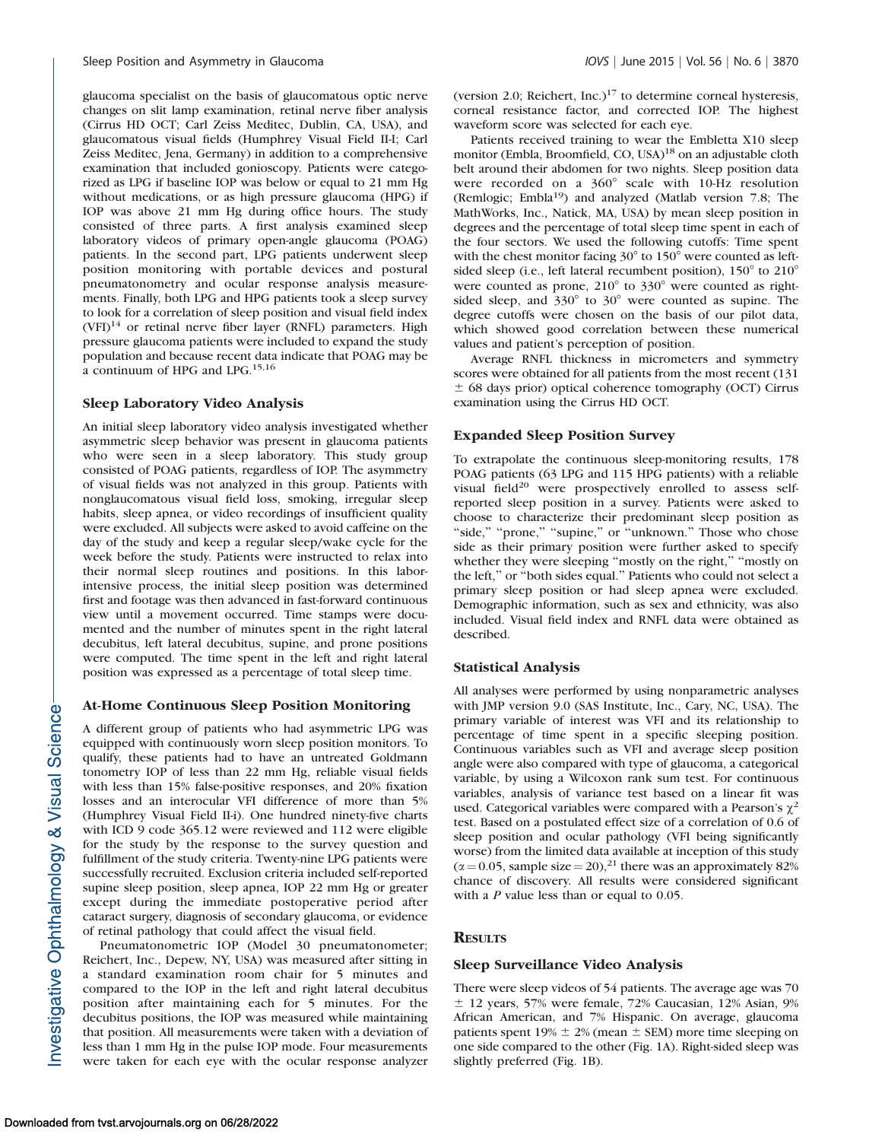glaucoma specialist on the basis of glaucomatous optic nerve changes on slit lamp examination, retinal nerve fiber analysis (Cirrus HD OCT; Carl Zeiss Meditec, Dublin, CA, USA), and glaucomatous visual fields (Humphrey Visual Field II-I; Carl Zeiss Meditec, Jena, Germany) in addition to a comprehensive examination that included gonioscopy. Patients were categorized as LPG if baseline IOP was below or equal to 21 mm Hg without medications, or as high pressure glaucoma (HPG) if IOP was above 21 mm Hg during office hours. The study consisted of three parts. A first analysis examined sleep laboratory videos of primary open-angle glaucoma (POAG) patients. In the second part, LPG patients underwent sleep position monitoring with portable devices and postural pneumatonometry and ocular response analysis measurements. Finally, both LPG and HPG patients took a sleep survey to look for a correlation of sleep position and visual field index  $(VFI)^{14}$  or retinal nerve fiber layer (RNFL) parameters. High pressure glaucoma patients were included to expand the study population and because recent data indicate that POAG may be a continuum of HPG and LPG.15,16

#### Sleep Laboratory Video Analysis

An initial sleep laboratory video analysis investigated whether asymmetric sleep behavior was present in glaucoma patients who were seen in a sleep laboratory. This study group consisted of POAG patients, regardless of IOP. The asymmetry of visual fields was not analyzed in this group. Patients with nonglaucomatous visual field loss, smoking, irregular sleep habits, sleep apnea, or video recordings of insufficient quality were excluded. All subjects were asked to avoid caffeine on the day of the study and keep a regular sleep/wake cycle for the week before the study. Patients were instructed to relax into their normal sleep routines and positions. In this laborintensive process, the initial sleep position was determined first and footage was then advanced in fast-forward continuous view until a movement occurred. Time stamps were documented and the number of minutes spent in the right lateral decubitus, left lateral decubitus, supine, and prone positions were computed. The time spent in the left and right lateral position was expressed as a percentage of total sleep time.

#### At-Home Continuous Sleep Position Monitoring

A different group of patients who had asymmetric LPG was equipped with continuously worn sleep position monitors. To qualify, these patients had to have an untreated Goldmann tonometry IOP of less than 22 mm Hg, reliable visual fields with less than 15% false-positive responses, and 20% fixation losses and an interocular VFI difference of more than 5% (Humphrey Visual Field II-i). One hundred ninety-five charts with ICD 9 code 365.12 were reviewed and 112 were eligible for the study by the response to the survey question and fulfillment of the study criteria. Twenty-nine LPG patients were successfully recruited. Exclusion criteria included self-reported supine sleep position, sleep apnea, IOP 22 mm Hg or greater except during the immediate postoperative period after cataract surgery, diagnosis of secondary glaucoma, or evidence of retinal pathology that could affect the visual field.

Pneumatonometric IOP (Model 30 pneumatonometer; Reichert, Inc., Depew, NY, USA) was measured after sitting in a standard examination room chair for 5 minutes and compared to the IOP in the left and right lateral decubitus position after maintaining each for 5 minutes. For the decubitus positions, the IOP was measured while maintaining that position. All measurements were taken with a deviation of less than 1 mm Hg in the pulse IOP mode. Four measurements were taken for each eye with the ocular response analyzer (version 2.0; Reichert, Inc.) $17$  to determine corneal hysteresis, corneal resistance factor, and corrected IOP. The highest waveform score was selected for each eye.

Patients received training to wear the Embletta X10 sleep monitor (Embla, Broomfield, CO, USA)<sup>18</sup> on an adjustable cloth belt around their abdomen for two nights. Sleep position data were recorded on a  $360^\circ$  scale with 10-Hz resolution (Remlogic; Embla19) and analyzed (Matlab version 7.8; The MathWorks, Inc., Natick, MA, USA) by mean sleep position in degrees and the percentage of total sleep time spent in each of the four sectors. We used the following cutoffs: Time spent with the chest monitor facing  $30^{\circ}$  to  $150^{\circ}$  were counted as leftsided sleep (i.e., left lateral recumbent position),  $150^{\circ}$  to  $210^{\circ}$ were counted as prone,  $210^{\circ}$  to  $330^{\circ}$  were counted as rightsided sleep, and  $330^{\circ}$  to  $30^{\circ}$  were counted as supine. The degree cutoffs were chosen on the basis of our pilot data, which showed good correlation between these numerical values and patient's perception of position.

Average RNFL thickness in micrometers and symmetry scores were obtained for all patients from the most recent (131  $\pm$  68 days prior) optical coherence tomography (OCT) Cirrus examination using the Cirrus HD OCT.

## Expanded Sleep Position Survey

To extrapolate the continuous sleep-monitoring results, 178 POAG patients (63 LPG and 115 HPG patients) with a reliable visual field<sup>20</sup> were prospectively enrolled to assess selfreported sleep position in a survey. Patients were asked to choose to characterize their predominant sleep position as "side," "prone," "supine," or "unknown." Those who chose side as their primary position were further asked to specify whether they were sleeping "mostly on the right," "mostly on the left,'' or ''both sides equal.'' Patients who could not select a primary sleep position or had sleep apnea were excluded. Demographic information, such as sex and ethnicity, was also included. Visual field index and RNFL data were obtained as described.

#### Statistical Analysis

All analyses were performed by using nonparametric analyses with JMP version 9.0 (SAS Institute, Inc., Cary, NC, USA). The primary variable of interest was VFI and its relationship to percentage of time spent in a specific sleeping position. Continuous variables such as VFI and average sleep position angle were also compared with type of glaucoma, a categorical variable, by using a Wilcoxon rank sum test. For continuous variables, analysis of variance test based on a linear fit was used. Categorical variables were compared with a Pearson's  $\chi^2$ test. Based on a postulated effect size of a correlation of 0.6 of sleep position and ocular pathology (VFI being significantly worse) from the limited data available at inception of this study  $(x=0.05,$  sample size  $= 20$ ),<sup>21</sup> there was an approximately 82% chance of discovery. All results were considered significant with a *P* value less than or equal to 0.05.

#### **RESULTS**

#### Sleep Surveillance Video Analysis

There were sleep videos of 54 patients. The average age was 70  $\pm$  12 years, 57% were female, 72% Caucasian, 12% Asian, 9% African American, and 7% Hispanic. On average, glaucoma patients spent  $19\% \pm 2\%$  (mean  $\pm$  SEM) more time sleeping on one side compared to the other (Fig. 1A). Right-sided sleep was slightly preferred (Fig. 1B).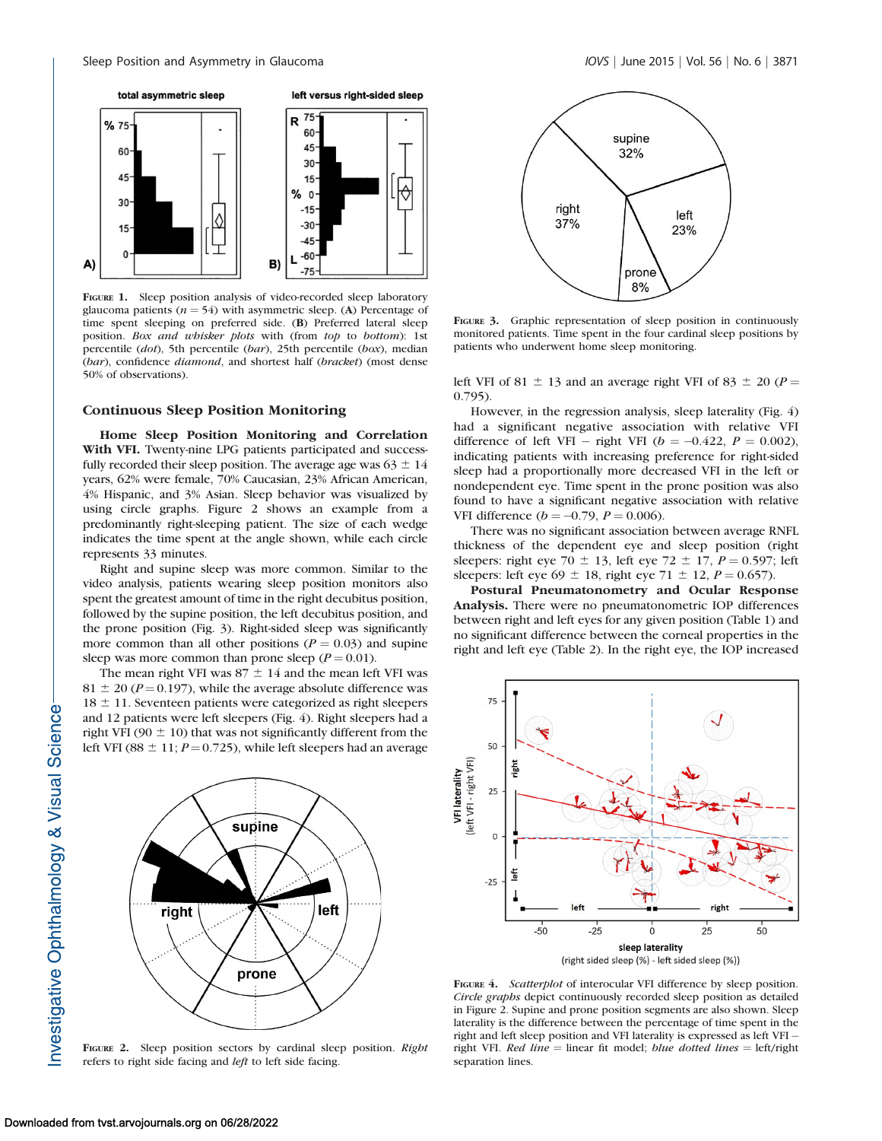

FIGURE 1. Sleep position analysis of video-recorded sleep laboratory glaucoma patients ( $n = 54$ ) with asymmetric sleep. (A) Percentage of time spent sleeping on preferred side. (B) Preferred lateral sleep position. Box and whisker plots with (from top to bottom): 1st percentile (dot), 5th percentile (bar), 25th percentile (box), median (bar), confidence *diamond*, and shortest half (bracket) (most dense 50% of observations).

### Continuous Sleep Position Monitoring

Home Sleep Position Monitoring and Correlation With VFI. Twenty-nine LPG patients participated and successfully recorded their sleep position. The average age was  $63 \pm 14$ years, 62% were female, 70% Caucasian, 23% African American, 4% Hispanic, and 3% Asian. Sleep behavior was visualized by using circle graphs. Figure 2 shows an example from a predominantly right-sleeping patient. The size of each wedge indicates the time spent at the angle shown, while each circle represents 33 minutes.

Right and supine sleep was more common. Similar to the video analysis, patients wearing sleep position monitors also spent the greatest amount of time in the right decubitus position, followed by the supine position, the left decubitus position, and the prone position (Fig. 3). Right-sided sleep was significantly more common than all other positions ( $P = 0.03$ ) and supine sleep was more common than prone sleep  $(P = 0.01)$ .

The mean right VFI was  $87 \pm 14$  and the mean left VFI was 81  $\pm$  20 (P = 0.197), while the average absolute difference was  $18 \pm 11$ . Seventeen patients were categorized as right sleepers and 12 patients were left sleepers (Fig. 4). Right sleepers had a right VFI (90  $\pm$  10) that was not significantly different from the left VFI (88  $\pm$  11; P = 0.725), while left sleepers had an average



FIGURE 2. Sleep position sectors by cardinal sleep position. Right refers to right side facing and left to left side facing.



FIGURE 3. Graphic representation of sleep position in continuously monitored patients. Time spent in the four cardinal sleep positions by patients who underwent home sleep monitoring.

left VFI of 81  $\pm$  13 and an average right VFI of 83  $\pm$  20 (P = 0.795).

However, in the regression analysis, sleep laterality (Fig. 4) had a significant negative association with relative VFI difference of left VFI – right VFI ( $b = -0.422$ ,  $P = 0.002$ ), indicating patients with increasing preference for right-sided sleep had a proportionally more decreased VFI in the left or nondependent eye. Time spent in the prone position was also found to have a significant negative association with relative VFI difference  $(b = -0.79, P = 0.006)$ .

There was no significant association between average RNFL thickness of the dependent eye and sleep position (right sleepers: right eye 70  $\pm$  13, left eye 72  $\pm$  17, P = 0.597; left sleepers: left eye 69  $\pm$  18, right eye 71  $\pm$  12, P = 0.657).

Postural Pneumatonometry and Ocular Response Analysis. There were no pneumatonometric IOP differences between right and left eyes for any given position (Table 1) and no significant difference between the corneal properties in the right and left eye (Table 2). In the right eye, the IOP increased



FIGURE 4. Scatterplot of interocular VFI difference by sleep position. Circle graphs depict continuously recorded sleep position as detailed in Figure 2. Supine and prone position segments are also shown. Sleep laterality is the difference between the percentage of time spent in the right and left sleep position and VFI laterality is expressed as left VFI right VFI. Red line = linear fit model; blue dotted lines =  $left/$ right separation lines.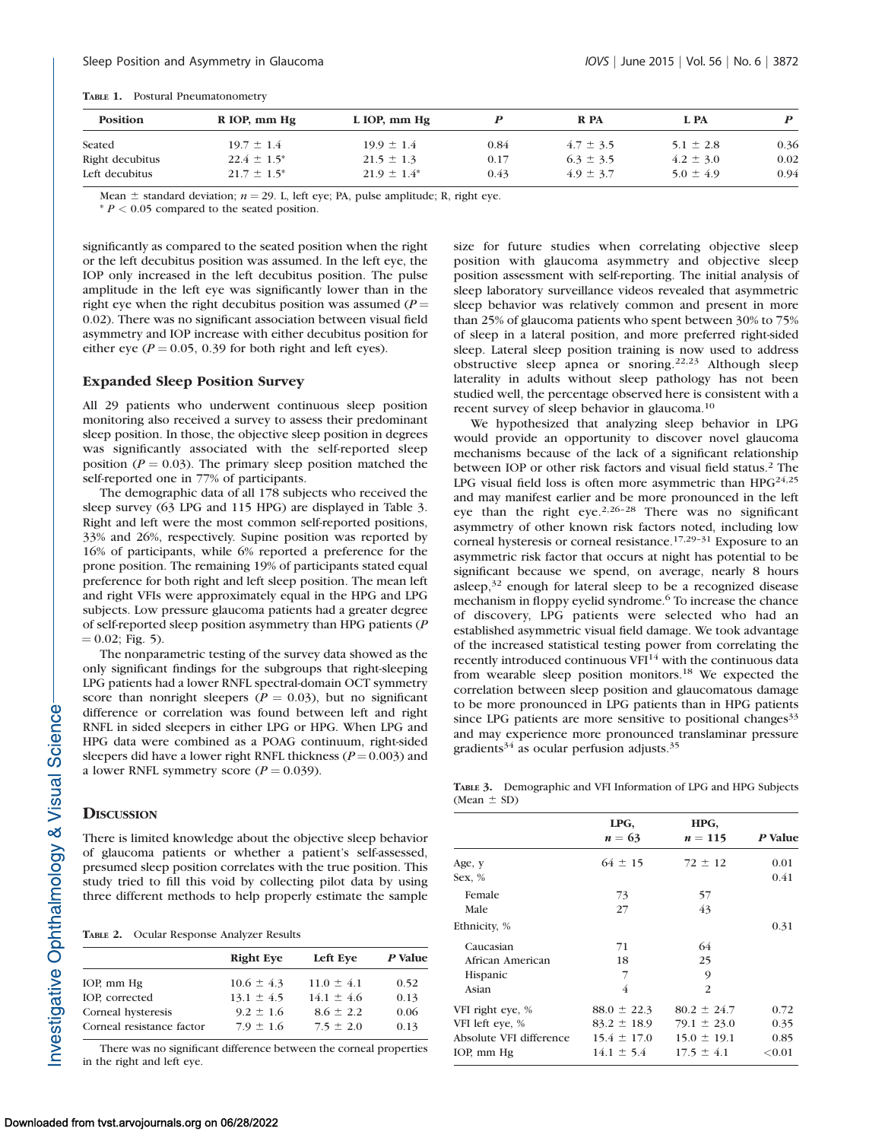| <b>Position</b> | R IOP, mm Hg     | $L$ IOP, mm $Hg$ |      | R PA          | L PA          |      |
|-----------------|------------------|------------------|------|---------------|---------------|------|
| Seated          | $19.7 \pm 1.4$   | $19.9 \pm 1.4$   | 0.84 | $4.7 \pm 3.5$ | $5.1 \pm 2.8$ | 0.36 |
| Right decubitus | $22.4 \pm 1.5^*$ | $21.5 \pm 1.3$   | 0.17 | $6.3 \pm 3.5$ | $4.2 \pm 3.0$ | 0.02 |
| Left decubitus  | $21.7 \pm 1.5^*$ | $21.9 \pm 1.4^*$ | 0.43 | $4.9 \pm 3.7$ | $5.0 \pm 4.9$ | 0.94 |

Mean  $\pm$  standard deviation;  $n = 29$ . L, left eye; PA, pulse amplitude; R, right eye.

 $* P < 0.05$  compared to the seated position.

significantly as compared to the seated position when the right or the left decubitus position was assumed. In the left eye, the IOP only increased in the left decubitus position. The pulse amplitude in the left eye was significantly lower than in the right eye when the right decubitus position was assumed ( $P =$ 0.02). There was no significant association between visual field asymmetry and IOP increase with either decubitus position for either eye ( $P = 0.05$ , 0.39 for both right and left eyes).

## Expanded Sleep Position Survey

All 29 patients who underwent continuous sleep position monitoring also received a survey to assess their predominant sleep position. In those, the objective sleep position in degrees was significantly associated with the self-reported sleep position ( $P = 0.03$ ). The primary sleep position matched the self-reported one in 77% of participants.

The demographic data of all 178 subjects who received the sleep survey (63 LPG and 115 HPG) are displayed in Table 3. Right and left were the most common self-reported positions, 33% and 26%, respectively. Supine position was reported by 16% of participants, while 6% reported a preference for the prone position. The remaining 19% of participants stated equal preference for both right and left sleep position. The mean left and right VFIs were approximately equal in the HPG and LPG subjects. Low pressure glaucoma patients had a greater degree of self-reported sleep position asymmetry than HPG patients (P  $= 0.02$ ; Fig. 5).

The nonparametric testing of the survey data showed as the only significant findings for the subgroups that right-sleeping LPG patients had a lower RNFL spectral-domain OCT symmetry score than nonright sleepers ( $P = 0.03$ ), but no significant difference or correlation was found between left and right RNFL in sided sleepers in either LPG or HPG. When LPG and HPG data were combined as a POAG continuum, right-sided sleepers did have a lower right RNFL thickness ( $P = 0.003$ ) and a lower RNFL symmetry score ( $P = 0.039$ ).

#### **DISCUSSION**

There is limited knowledge about the objective sleep behavior of glaucoma patients or whether a patient's self-assessed, presumed sleep position correlates with the true position. This study tried to fill this void by collecting pilot data by using three different methods to help properly estimate the sample

TABLE 2. Ocular Response Analyzer Results

|                           | <b>Right Eye</b> | Left Eye       | P Value |
|---------------------------|------------------|----------------|---------|
| IOP, mm Hg                | $10.6 \pm 4.3$   | $11.0 \pm 4.1$ | 0.52    |
| IOP, corrected            | $13.1 \pm 4.5$   | $141 + 46$     | 0.13    |
| Corneal hysteresis        | $9.2 \pm 1.6$    | $86 + 22$      | 0.06    |
| Corneal resistance factor | $7.9 \pm 1.6$    | $7.5 \pm 2.0$  | 0.13    |

There was no significant difference between the corneal properties in the right and left eye.

size for future studies when correlating objective sleep position with glaucoma asymmetry and objective sleep position assessment with self-reporting. The initial analysis of sleep laboratory surveillance videos revealed that asymmetric sleep behavior was relatively common and present in more than 25% of glaucoma patients who spent between 30% to 75% of sleep in a lateral position, and more preferred right-sided sleep. Lateral sleep position training is now used to address obstructive sleep apnea or snoring.22,23 Although sleep laterality in adults without sleep pathology has not been studied well, the percentage observed here is consistent with a recent survey of sleep behavior in glaucoma.<sup>10</sup>

We hypothesized that analyzing sleep behavior in LPG would provide an opportunity to discover novel glaucoma mechanisms because of the lack of a significant relationship between IOP or other risk factors and visual field status.<sup>2</sup> The LPG visual field loss is often more asymmetric than  $HPG^{24,25}$ and may manifest earlier and be more pronounced in the left eye than the right eye.2,26–28 There was no significant asymmetry of other known risk factors noted, including low corneal hysteresis or corneal resistance.17,29–31 Exposure to an asymmetric risk factor that occurs at night has potential to be significant because we spend, on average, nearly 8 hours asleep, $32$  enough for lateral sleep to be a recognized disease mechanism in floppy eyelid syndrome.<sup>6</sup> To increase the chance of discovery, LPG patients were selected who had an established asymmetric visual field damage. We took advantage of the increased statistical testing power from correlating the recently introduced continuous VFI<sup>14</sup> with the continuous data from wearable sleep position monitors.18 We expected the correlation between sleep position and glaucomatous damage to be more pronounced in LPG patients than in HPG patients since LPG patients are more sensitive to positional changes $33$ and may experience more pronounced translaminar pressure gradients<sup>34</sup> as ocular perfusion adjusts.<sup>35</sup>

TABLE 3. Demographic and VFI Information of LPG and HPG Subjects (Mean  $\pm$  SD)

|                         | LPG,<br>$n = 63$ | HPG,<br>$n = 115$ | P Value |
|-------------------------|------------------|-------------------|---------|
| Age, y                  | $64 \pm 15$      | $72 \pm 12$       | 0.01    |
| Sex, $%$                |                  |                   | 0.41    |
| Female                  | 73               | 57                |         |
| Male                    | 27               | 43                |         |
| Ethnicity, %            |                  |                   | 0.31    |
| Caucasian               | 71               | 64                |         |
| African American        | 18               | 25                |         |
| Hispanic                | 7                | 9                 |         |
| Asian                   | 4                | 2                 |         |
| VFI right eye, %        | $88.0 \pm 22.3$  | $80.2 \pm 24.7$   | 0.72    |
| VFI left eye, %         | $83.2 \pm 18.9$  | $79.1 \pm 23.0$   | 0.35    |
| Absolute VFI difference | $15.4 \pm 17.0$  | $15.0 \pm 19.1$   | 0.85    |
| IOP, mm Hg              | $14.1 \pm 5.4$   | $17.5 \pm 4.1$    | < 0.01  |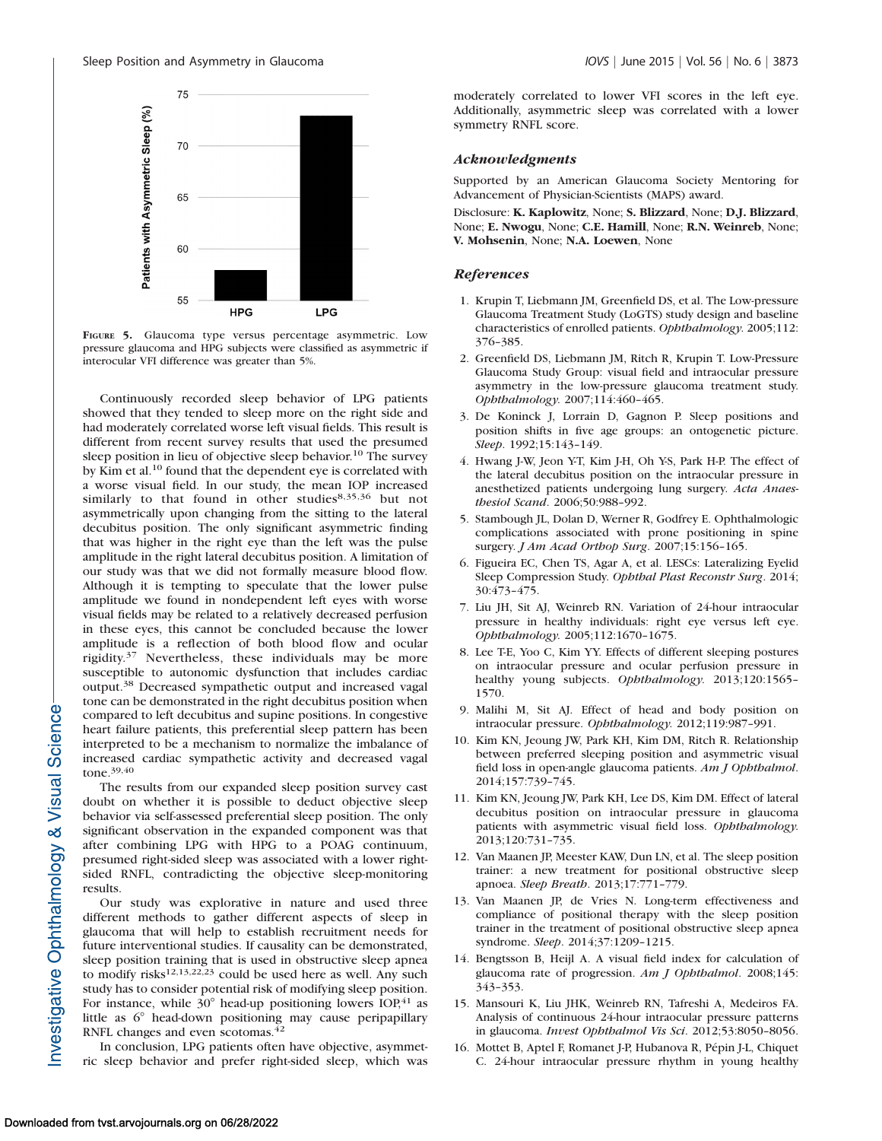

FIGURE 5. Glaucoma type versus percentage asymmetric. Low pressure glaucoma and HPG subjects were classified as asymmetric if interocular VFI difference was greater than 5%.

Continuously recorded sleep behavior of LPG patients showed that they tended to sleep more on the right side and had moderately correlated worse left visual fields. This result is different from recent survey results that used the presumed sleep position in lieu of objective sleep behavior.<sup>10</sup> The survey by Kim et al.<sup>10</sup> found that the dependent eye is correlated with a worse visual field. In our study, the mean IOP increased similarly to that found in other studies<sup>8,35,36</sup> but not asymmetrically upon changing from the sitting to the lateral decubitus position. The only significant asymmetric finding that was higher in the right eye than the left was the pulse amplitude in the right lateral decubitus position. A limitation of our study was that we did not formally measure blood flow. Although it is tempting to speculate that the lower pulse amplitude we found in nondependent left eyes with worse visual fields may be related to a relatively decreased perfusion in these eyes, this cannot be concluded because the lower amplitude is a reflection of both blood flow and ocular rigidity.<sup>37</sup> Nevertheless, these individuals may be more susceptible to autonomic dysfunction that includes cardiac output.<sup>38</sup> Decreased sympathetic output and increased vagal tone can be demonstrated in the right decubitus position when compared to left decubitus and supine positions. In congestive heart failure patients, this preferential sleep pattern has been interpreted to be a mechanism to normalize the imbalance of increased cardiac sympathetic activity and decreased vagal tone.39,40

The results from our expanded sleep position survey cast doubt on whether it is possible to deduct objective sleep behavior via self-assessed preferential sleep position. The only significant observation in the expanded component was that after combining LPG with HPG to a POAG continuum, presumed right-sided sleep was associated with a lower rightsided RNFL, contradicting the objective sleep-monitoring results.

Our study was explorative in nature and used three different methods to gather different aspects of sleep in glaucoma that will help to establish recruitment needs for future interventional studies. If causality can be demonstrated, sleep position training that is used in obstructive sleep apnea to modify risks<sup>12,13,22,23</sup> could be used here as well. Any such study has to consider potential risk of modifying sleep position. For instance, while  $30^{\circ}$  head-up positioning lowers IOP,<sup>41</sup> as little as  $6^\circ$  head-down positioning may cause peripapillary RNFL changes and even scotomas.<sup>42</sup>

In conclusion, LPG patients often have objective, asymmetric sleep behavior and prefer right-sided sleep, which was moderately correlated to lower VFI scores in the left eye. Additionally, asymmetric sleep was correlated with a lower symmetry RNFL score.

#### Acknowledgments

Supported by an American Glaucoma Society Mentoring for Advancement of Physician-Scientists (MAPS) award.

Disclosure: K. Kaplowitz, None; S. Blizzard, None; D.J. Blizzard, None; E. Nwogu, None; C.E. Hamill, None; R.N. Weinreb, None; V. Mohsenin, None; N.A. Loewen, None

#### References

- 1. Krupin T, Liebmann JM, Greenfield DS, et al. The Low-pressure Glaucoma Treatment Study (LoGTS) study design and baseline characteristics of enrolled patients. Ophthalmology. 2005;112: 376–385.
- 2. Greenfield DS, Liebmann JM, Ritch R, Krupin T. Low-Pressure Glaucoma Study Group: visual field and intraocular pressure asymmetry in the low-pressure glaucoma treatment study. Ophthalmology. 2007;114:460–465.
- 3. De Koninck J, Lorrain D, Gagnon P. Sleep positions and position shifts in five age groups: an ontogenetic picture. Sleep. 1992;15:143–149.
- 4. Hwang J-W, Jeon Y-T, Kim J-H, Oh Y-S, Park H-P. The effect of the lateral decubitus position on the intraocular pressure in anesthetized patients undergoing lung surgery. Acta Anaesthesiol Scand. 2006;50:988–992.
- 5. Stambough JL, Dolan D, Werner R, Godfrey E. Ophthalmologic complications associated with prone positioning in spine surgery. J Am Acad Orthop Surg. 2007;15:156-165.
- 6. Figueira EC, Chen TS, Agar A, et al. LESCs: Lateralizing Eyelid Sleep Compression Study. Ophthal Plast Reconstr Surg. 2014; 30:473–475.
- 7. Liu JH, Sit AJ, Weinreb RN. Variation of 24-hour intraocular pressure in healthy individuals: right eye versus left eye. Ophthalmology. 2005;112:1670–1675.
- 8. Lee T-E, Yoo C, Kim YY. Effects of different sleeping postures on intraocular pressure and ocular perfusion pressure in healthy young subjects. Ophthalmology. 2013;120:1565– 1570.
- 9. Malihi M, Sit AJ. Effect of head and body position on intraocular pressure. Ophthalmology. 2012;119:987–991.
- 10. Kim KN, Jeoung JW, Park KH, Kim DM, Ritch R. Relationship between preferred sleeping position and asymmetric visual field loss in open-angle glaucoma patients. Am J Ophthalmol. 2014;157:739–745.
- 11. Kim KN, Jeoung JW, Park KH, Lee DS, Kim DM. Effect of lateral decubitus position on intraocular pressure in glaucoma patients with asymmetric visual field loss. Ophthalmology. 2013;120:731–735.
- 12. Van Maanen JP, Meester KAW, Dun LN, et al. The sleep position trainer: a new treatment for positional obstructive sleep apnoea. Sleep Breath. 2013;17:771–779.
- 13. Van Maanen JP, de Vries N. Long-term effectiveness and compliance of positional therapy with the sleep position trainer in the treatment of positional obstructive sleep apnea syndrome. Sleep. 2014;37:1209–1215.
- 14. Bengtsson B, Heijl A. A visual field index for calculation of glaucoma rate of progression. Am J Ophthalmol. 2008;145: 343–353.
- 15. Mansouri K, Liu JHK, Weinreb RN, Tafreshi A, Medeiros FA. Analysis of continuous 24-hour intraocular pressure patterns in glaucoma. Invest Ophthalmol Vis Sci. 2012;53:8050–8056.
- 16. Mottet B, Aptel F, Romanet J-P, Hubanova R, Pépin J-L, Chiquet C. 24-hour intraocular pressure rhythm in young healthy